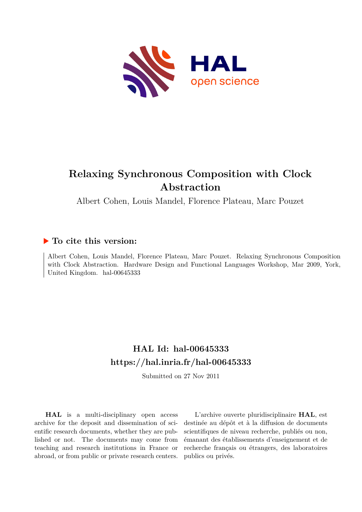

# **Relaxing Synchronous Composition with Clock Abstraction**

Albert Cohen, Louis Mandel, Florence Plateau, Marc Pouzet

#### **To cite this version:**

Albert Cohen, Louis Mandel, Florence Plateau, Marc Pouzet. Relaxing Synchronous Composition with Clock Abstraction. Hardware Design and Functional Languages Workshop, Mar 2009, York, United Kingdom. hal-00645333

# **HAL Id: hal-00645333 <https://hal.inria.fr/hal-00645333>**

Submitted on 27 Nov 2011

**HAL** is a multi-disciplinary open access archive for the deposit and dissemination of scientific research documents, whether they are published or not. The documents may come from teaching and research institutions in France or abroad, or from public or private research centers.

L'archive ouverte pluridisciplinaire **HAL**, est destinée au dépôt et à la diffusion de documents scientifiques de niveau recherche, publiés ou non, émanant des établissements d'enseignement et de recherche français ou étrangers, des laboratoires publics ou privés.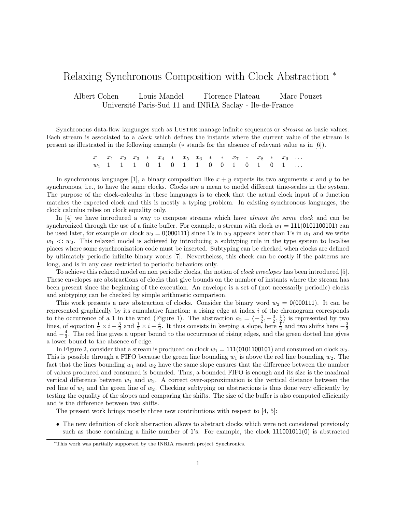#### Relaxing Synchronous Composition with Clock Abstraction <sup>∗</sup>

Albert Cohen Louis Mandel Florence Plateau Marc Pouzet Université Paris-Sud 11 and INRIA Saclay - Ile-de-France

Synchronous data-flow languages such as LUSTRE manage infinite sequences or *streams* as basic values. Each stream is associated to a clock which defines the instants where the current value of the stream is present as illustrated in the following example (∗ stands for the absence of relevant value as in [6]).

> $x \mid x_1 \quad x_2 \quad x_3 \quad * \quad x_4 \quad * \quad x_5 \quad x_6 \quad * \quad * \quad x_7 \quad * \quad x_8 \quad * \quad x_9 \quad \dots$  $w_1$  | 1 1 1 0 1 0 1 1 0 0 0 1 0 1 0 1  $\dots$

In synchronous languages [1], a binary composition like  $x + y$  expects its two arguments x and y to be synchronous, i.e., to have the same clocks. Clocks are a mean to model different time-scales in the system. The purpose of the clock-calculus in these languages is to check that the actual clock input of a function matches the expected clock and this is mostly a typing problem. In existing synchronous languages, the clock calculus relies on clock equality only.

In [4] we have introduced a way to compose streams which have almost the same clock and can be synchronized through the use of a finite buffer. For example, a stream with clock  $w_1 = 111(0101100101)$  can be used later, for example on clock  $w_2 = 0(000111)$  since 1's in  $w_2$  appears later than 1's in  $w_1$  and we write  $w_1 \ll w_2$ . This relaxed model is achieved by introducing a subtyping rule in the type system to localise places where some synchronization code must be inserted. Subtyping can be checked when clocks are defined by ultimately periodic infinite binary words [7]. Nevertheless, this check can be costly if the patterns are long, and is in any case restricted to periodic behaviors only.

To achieve this relaxed model on non periodic clocks, the notion of clock envelopes has been introduced [5]. These envelopes are abstractions of clocks that give bounds on the number of instants where the stream has been present since the beginning of the execution. An envelope is a set of (not necessarily periodic) clocks and subtyping can be checked by simple arithmetic comparison.

This work presents a new abstraction of clocks. Consider the binary word  $w_2 = 0(000111)$ . It can be represented graphically by its cumulative function: a rising edge at index i of the chronogram corresponds to the occurrence of a 1 in the word (Figure 1). The abstraction  $a_2 = \langle -\frac{4}{2}, -\frac{3}{2}, \frac{1}{2} \rangle$  is represented by two lines, of equation  $\frac{1}{2} \times i - \frac{3}{2}$  and  $\frac{1}{2} \times i - \frac{4}{2}$ . It thus consists in keeping a slope, here  $\frac{1}{2}$  and two shifts here  $-\frac{3}{2}$ and  $-\frac{4}{2}$ . The red line gives a upper bound to the occurrence of rising edges, and the green dotted line gives a lower bound to the absence of edge.

In Figure 2, consider that a stream is produced on clock  $w_1 = 111(0101100101)$  and consumed on clock  $w_2$ . This is possible through a FIFO because the green line bounding  $w_1$  is above the red line bounding  $w_2$ . The fact that the lines bounding  $w_1$  and  $w_2$  have the same slope ensures that the difference between the number of values produced and consumed is bounded. Thus, a bounded FIFO is enough and its size is the maximal vertical difference between  $w_1$  and  $w_2$ . A correct over-approximation is the vertical distance between the red line of  $w_1$  and the green line of  $w_2$ . Checking subtyping on abstractions is thus done very efficiently by testing the equality of the slopes and comparing the shifts. The size of the buffer is also computed efficiently and is the difference between two shifts.

The present work brings mostly three new contributions with respect to  $[4, 5]$ :

• The new definition of clock abstraction allows to abstract clocks which were not considered previously such as those containing a finite number of 1's. For example, the clock 111001011(0) is abstracted

<sup>∗</sup>This work was partially supported by the INRIA research project Synchronics.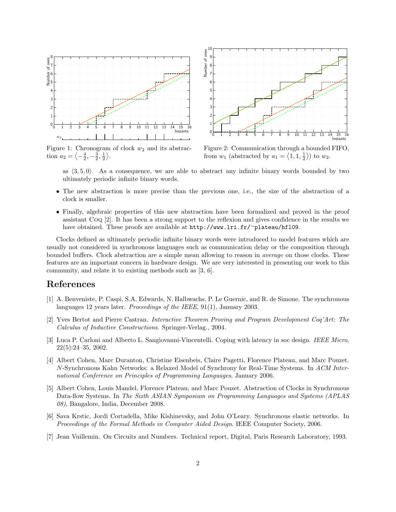

Figure 1: Chronogram of clock  $w_2$  and its abstraction  $a_2 = \left\langle -\frac{4}{2}, -\frac{3}{2}, \frac{1}{2} \right\rangle$ .



Figure 2: Communication through a bounded FIFO, from  $w_1$  (abstracted by  $a_1 = \langle 1, 1, \frac{1}{2} \rangle$ ) to  $w_2$ .

as  $\langle 3, 5, 0 \rangle$ . As a consequence, we are able to abstract any infinite binary words bounded by two ultimately periodic infinite binary words.

- The new abstraction is more precise than the previous one, i.e., the size of the abstraction of a clock is smaller.
- Finally, algebraic properties of this new abstraction have been formalized and proved in the proof assistant Coq [2]. It has been a strong support to the reflexion and gives confidence in the results we have obtained. These proofs are available at http://www.lri.fr/<sup>∼</sup>plateau/hfl09.

Clocks defined as ultimately periodic infinite binary words were introduced to model features which are usually not considered in synchronous languages such as communication delay or the composition through bounded buffers. Clock abstraction are a simple mean allowing to reason in average on those clocks. These features are an important concern in hardware design. We are very interested in presenting our work to this community, and relate it to existing methods such as [3, 6].

#### References

- [1] A. Benveniste, P. Caspi, S.A. Edwards, N. Halbwachs, P. Le Guernic, and R. de Simone. The synchronous languages 12 years later. *Proceedings of the IEEE*, 91(1), January 2003.
- [2] Yves Bertot and Pierre Castran. Interactive Theorem Proving and Program Development Coq'Art: The Calculus of Inductive Constructions. Springer-Verlag., 2004.
- [3] Luca P. Carloni and Alberto L. Sangiovanni-Vincentelli. Coping with latency in soc design. IEEE Micro, 22(5):24–35, 2002.
- [4] Albert Cohen, Marc Duranton, Christine Eisenbeis, Claire Pagetti, Florence Plateau, and Marc Pouzet. N-Synchronous Kahn Networks: a Relaxed Model of Synchrony for Real-Time Systems. In ACM International Conference on Principles of Programming Languages, January 2006.
- [5] Albert Cohen, Louis Mandel, Florence Plateau, and Marc Pouzet. Abstraction of Clocks in Synchronous Data-flow Systems. In The Sixth ASIAN Symposium on Programming Languages and Systems (APLAS 08), Bangalore, India, December 2008.
- [6] Sava Krstic, Jordi Cortadella, Mike Kishinevsky, and John O'Leary. Synchronous elastic networks. In Proceedings of the Formal Methods in Computer Aided Design. IEEE Computer Society, 2006.
- [7] Jean Vuillemin. On Circuits and Numbers. Technical report, Digital, Paris Research Laboratory, 1993.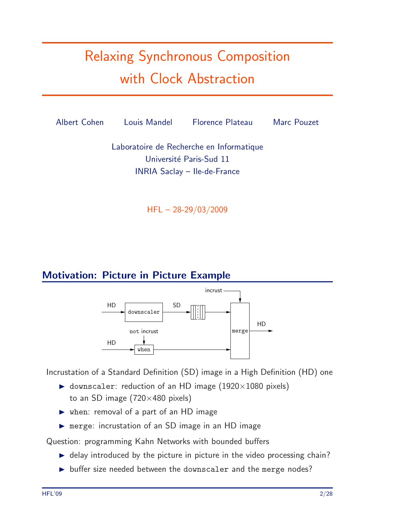# Relaxing Synchronous Composition with Clock Abstraction



HFL – 28-29/03/2009

# Motivation: Picture in Picture Example



Incrustation of a Standard Definition (SD) image in a High Definition (HD) one

- $\triangleright$  downscaler: reduction of an HD image (1920×1080 pixels) to an SD image  $(720\times480)$  pixels)
- when: removal of a part of an HD image
- merge: incrustation of an SD image in an HD image

Question: programming Kahn Networks with bounded buffers

- $\blacktriangleright$  delay introduced by the picture in picture in the video processing chain?
- $\triangleright$  buffer size needed between the downscaler and the merge nodes?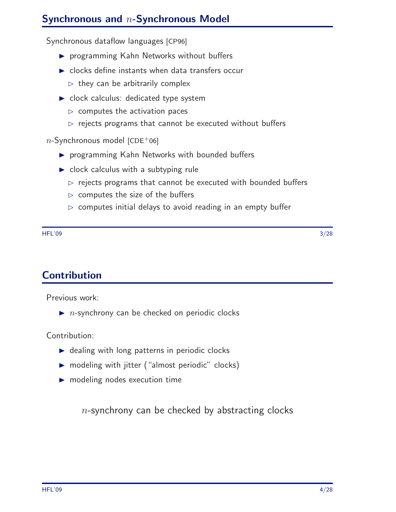# Synchronous and n-Synchronous Model

Synchronous dataflow languages [CP96]

- **P** programming Kahn Networks without buffers
- $\triangleright$  clocks define instants when data transfers occur
	- $\triangleright$  they can be arbitrarily complex
- clock calculus: dedicated type system
	- $\triangleright$  computes the activation paces
	- $\rhd$  rejects programs that cannot be executed without buffers

 $n$ -Synchronous model [CDE+06]

- **P** programming Kahn Networks with bounded buffers
- $\triangleright$  clock calculus with a subtyping rule
	- $\triangleright$  rejects programs that cannot be executed with bounded buffers
	- $\triangleright$  computes the size of the buffers
	- $\triangleright$  computes initial delays to avoid reading in an empty buffer

 $\rm{HFL'09}$  . The set of the set of the set of the set of the set of the set of the set of the set of the set of the set of the set of the set of the set of the set of the set of the set of the set of the set of the set o

**Contribution** 

Previous work:

 $\blacktriangleright$  *n*-synchrony can be checked on periodic clocks

Contribution:

- $\triangleright$  dealing with long patterns in periodic clocks
- ▶ modeling with jitter ("almost periodic" clocks)
- modeling nodes execution time

 $n$ -synchrony can be checked by abstracting clocks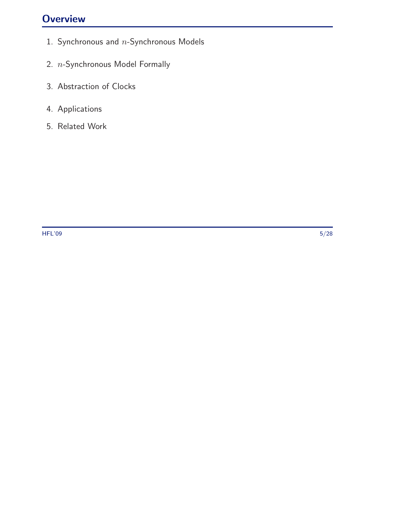# **Overview**

- 1. Synchronous and  $n$ -Synchronous Models
- 2. n-Synchronous Model Formally
- 3. Abstraction of Clocks
- 4. Applications
- 5. Related Work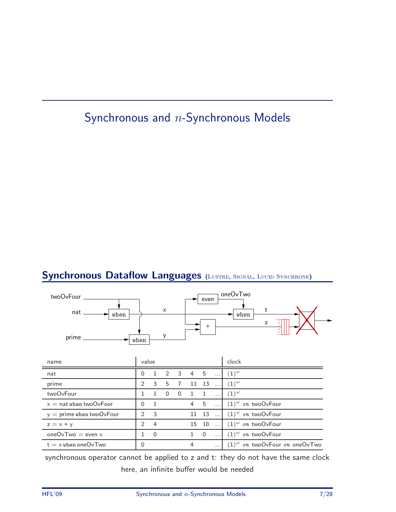# Synchronous and n-Synchronous Models

#### Synchronous Dataflow Languages (LUSTRE, SIGNAL, LUCID SYNCHRONE)



synchronous operator cannot be applied to z and t: they do not have the same clock here, an infinite buffer would be needed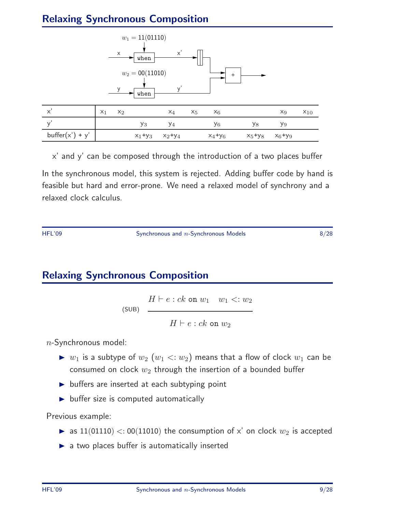# Relaxing Synchronous Composition



x' and y' can be composed through the introduction of a two places buffer In the synchronous model, this system is rejected. Adding buffer code by hand is feasible but hard and error-prone. We need a relaxed model of synchrony and a relaxed clock calculus.

HFL'09 Synchronous and n-Synchronous Models 8/28

# Relaxing Synchronous Composition

 $H \vdash e : ck$  on  $w_1 \quad w_1 \leq w_2$ (SUB)  $H \vdash e : ck$  on  $w_2$ 

 $n$ -Synchronous model:

- $\triangleright$   $w_1$  is a subtype of  $w_2$   $(w_1 \lt: w_2)$  means that a flow of clock  $w_1$  can be consumed on clock  $w_2$  through the insertion of a bounded buffer
- $\triangleright$  buffers are inserted at each subtyping point
- $\blacktriangleright$  buffer size is computed automatically

Previous example:

- as  $11(01110) < 00(11010)$  the consumption of x' on clock  $w_2$  is accepted
- $\blacktriangleright$  a two places buffer is automatically inserted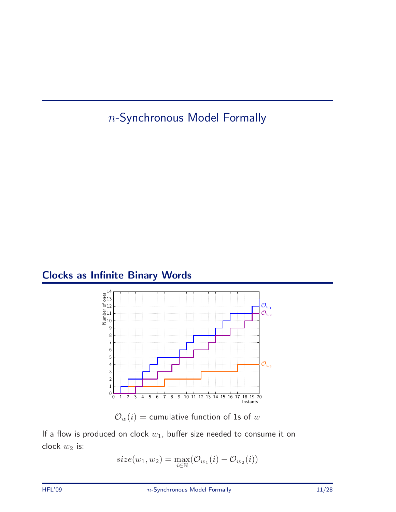n-Synchronous Model Formally

# Clocks as Infinite Binary Words



 $\mathcal{O}_w(i)$  = cumulative function of 1s of w

If a flow is produced on clock  $w_1$ , buffer size needed to consume it on clock  $w_2$  is:

$$
size(w_1, w_2) = \max_{i \in \mathbb{N}} (\mathcal{O}_{w_1}(i) - \mathcal{O}_{w_2}(i))
$$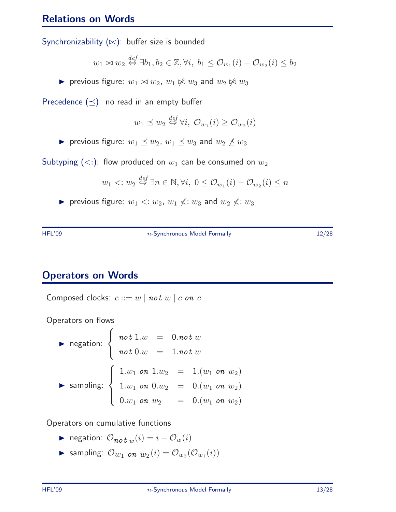#### Relations on Words

Synchronizability (∞): buffer size is bounded

$$
w_1 \bowtie w_2 \stackrel{def}{\Leftrightarrow} \exists b_1, b_2 \in \mathbb{Z}, \forall i, b_1 \leq \mathcal{O}_{w_1}(i) - \mathcal{O}_{w_2}(i) \leq b_2
$$

**►** previous figure:  $w_1 \Join w_2$ ,  $w_1 \Join w_3$  and  $w_2 \Join w_3$ 

Precedence  $(\preceq)$ : no read in an empty buffer

$$
w_1 \preceq w_2 \stackrel{def}{\Leftrightarrow} \forall i, \ \mathcal{O}_{w_1}(i) \ge \mathcal{O}_{w_2}(i)
$$

previous figure:  $w_1 \preceq w_2$ ,  $w_1 \preceq w_3$  and  $w_2 \npreceq w_3$ 

Subtyping  $(<:):$  flow produced on  $w_1$  can be consumed on  $w_2$ 

$$
w_1 \langle w_2 \stackrel{\text{def}}{\Leftrightarrow} \exists n \in \mathbb{N}, \forall i, \ 0 \le \mathcal{O}_{w_1}(i) - \mathcal{O}_{w_2}(i) \le n
$$

previous figure:  $w_1 \le w_2$ ,  $w_1 \nless w_3$  and  $w_2 \nless w_3$ 

HFL'09 **n-Synchronous Model Formally** 12/28

#### Operators on Words

Composed clocks:  $c ::= w \mid not \ w \mid c \text{ on } c$ 

Operators on flows

$$
\begin{array}{lll}\n\text{negation:} & \left\{ \begin{array}{rcl} \text{not } 1.w & = & 0.\text{not } w \\
\text{not } 0.w & = & 1.\text{not } w \\
\end{array} \right. \\
\text{sampling:} & \left\{ \begin{array}{rcl} 1.w_1 & \text{on } 1.w_2 & = & 1.(w_1 \text{ on } w_2) \\
1.w_1 & \text{on } 0.w_2 & = & 0.(w_1 \text{ on } w_2) \\
0.w_1 & \text{on } w_2 & = & 0.(w_1 \text{ on } w_2)\n\end{array} \right. \\
\end{array}
$$

Operators on cumulative functions

- ► negation:  $O_{\boldsymbol{not}} w(i) = i O_w(i)$
- Sampling:  $\mathcal{O}_{w_1}$  on  $w_2(i) = \mathcal{O}_{w_2}(\mathcal{O}_{w_1}(i))$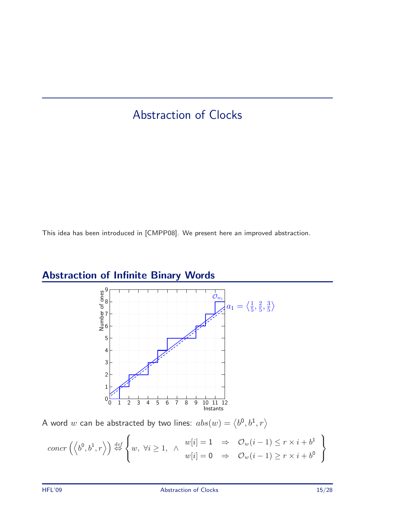# Abstraction of Clocks

This idea has been introduced in [CMPP08]. We present here an improved abstraction.



# Abstraction of Infinite Binary Words

A word  $w$  can be abstracted by two lines:  $abs(w) = \left\langle b^0, b^1, r \right\rangle$ 

$$
concr\left(\left\langle b^{0},b^{1},r\right\rangle\right)\stackrel{def}{\Leftrightarrow}\left\{w,\ \forall i\geq 1,\ \wedge\begin{array}{c}w[i]=1\Rightarrow&\mathcal{O}_{w}(i-1)\leq r\times i+b^{1}\\w[i]=0\Rightarrow&\mathcal{O}_{w}(i-1)\geq r\times i+b^{0}\end{array}\right\}
$$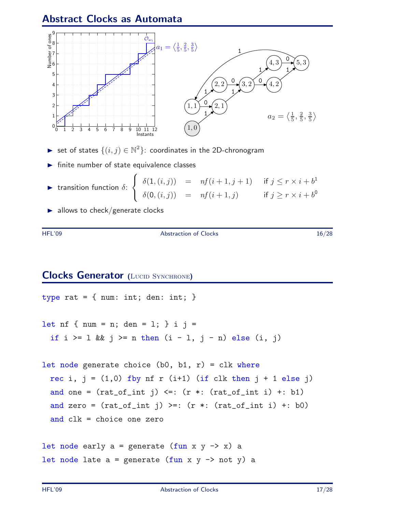#### Abstract Clocks as Automata



- ► set of states  $\{(i, j) \in \mathbb{N}^2\}$ : coordinates in the 2D-chronogram
- $\blacktriangleright$  finite number of state equivalence classes
- $\blacktriangleright$  transition function  $\delta$ :  $\sqrt{ }$  $\left| \right|$  $\mathcal{L}$  $\delta(1,(i,j)) = nf(i+1,j+1)$  if  $j \leq r \times i+b^1$  $\delta(\mathbf{0}, (i,j)) = nf(i+1,j)$  if  $j \geq r \times i + b^0$
- $\blacktriangleright$  allows to check/generate clocks

HFL'09 Abstraction of Clocks 16/28

#### **Clocks Generator (LUCID SYNCHRONE)**

```
type rat = { num: int; den: int; }
let nf \{num = n; den = 1; \} i j =
 if i > = 1 && j > = n then (i - 1, j - n) else (i, j)let node generate choice (b0, b1, r) = c1k where
 rec i, j = (1,0) fby nf r (i+1) (if clk then j + 1 else j)
 and one = (rat_of_info) \leq: (r *: (rat_of_info i) +: b1)and zero = (rat_of_info) >=: (r *: (rat_of_info i) +: b0)and clk = choice one zero
let node early a = generate (fun x y -> x) a
let node late a = generate (fun x y \rightarrow not y) a
```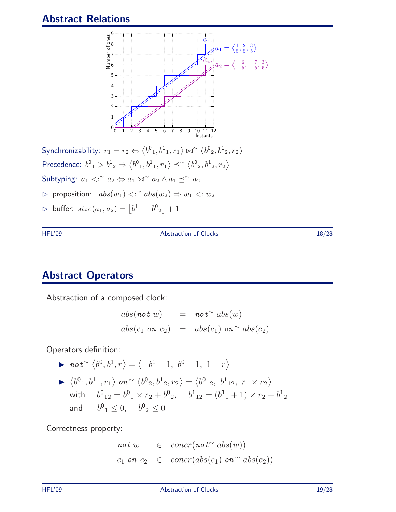#### Abstract Relations



Synchronizability:  $r_1 = r_2 \Leftrightarrow \langle b^0{}_1, b^1{}_1, r_1 \rangle \bowtie^\sim \langle b^0{}_2, b^1{}_2, r_2 \rangle$ Precedence:  $b^0{}_1 > b^1{}_2 \Rightarrow \langle b^0{}_1, b^1{}_1, r_1 \rangle \preceq^{\sim} \langle b^0{}_2, b^1{}_2, r_2 \rangle$ Subtyping:  $a_1 <sup>∼</sup> a_2 \Leftrightarrow a_1 \bowtie^{\sim} a_2 \wedge a_1 \preceq^{\sim} a_2$  $\rhd$  proposition:  $abs(w_1)$  <:  $~^{\sim}abs(w_2)$  ⇒  $w_1$  <:  $w_2$  $\triangleright$  buffer:  $size(a_1,a_2)=\left|0^1_{-1}-b^0_{-2}\right|+1$ 

HFL'09 Abstraction of Clocks 18/28

#### Abstract Operators

Abstraction of a composed clock:

$$
abs(\text{not } w) = \text{not}^{\sim} abs(w)
$$
  

$$
abs(c_1 \text{ on } c_2) = abs(c_1) \text{ on }^{\sim} abs(c_2)
$$

Operators definition:

▶ 
$$
not^{\sim} \langle b^0, b^1, r \rangle = \langle -b^1 - 1, b^0 - 1, 1 - r \rangle
$$
  
\n▶  $\langle b^0_1, b^1_1, r_1 \rangle$  on  $\sim \langle b^0_2, b^1_2, r_2 \rangle = \langle b^0_{12}, b^1_{12}, r_1 \times r_2 \rangle$   
\nwith  $b^0_{12} = b^0_1 \times r_2 + b^0_2$ ,  $b^1_{12} = (b^1_1 + 1) \times r_2 + b^1_2$   
\nand  $b^0_1 \le 0$ ,  $b^0_2 \le 0$ 

Correctness property:

$$
not w \in concr(not^{\sim} abs(w))
$$
  

$$
c_1 on c_2 \in concr(abs(c_1) on^{\sim} abs(c_2))
$$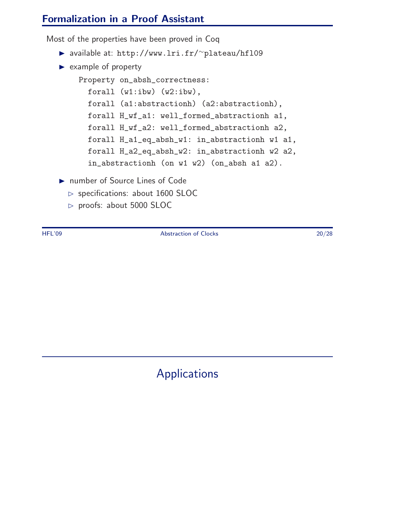#### Formalization in a Proof Assistant

Most of the properties have been proved in Coq

- available at: http://www.lri.fr/∼plateau/hfl09
- $\blacktriangleright$  example of property

Property on\_absh\_correctness: forall (w1:ibw) (w2:ibw), forall (a1:abstractionh) (a2:abstractionh), forall H\_wf\_a1: well\_formed\_abstractionh a1, forall H\_wf\_a2: well\_formed\_abstractionh a2, forall H\_a1\_eq\_absh\_w1: in\_abstractionh w1 a1, forall H\_a2\_eq\_absh\_w2: in\_abstractionh w2 a2, in\_abstractionh (on w1 w2) (on\_absh a1 a2).

- ▶ number of Source Lines of Code
	- $\rhd$  specifications: about 1600 SLOC
	- $\triangleright$  proofs: about 5000 SLOC

HFL'09 Abstraction of Clocks 20/28

Applications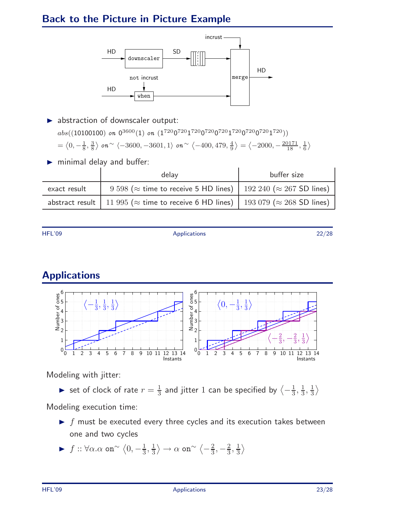# Back to the Picture in Picture Example



- $\blacktriangleright$  abstraction of downscaler output:  $abs((10100100)$  on  $0^{3600}(1)$  on  $(1^{720}0^{720}1^{720}0^{720}1^{720}0^{720}0^{720}1^{720}))$  $=\langle 0, -\frac{1}{8}, \frac{3}{8}$  $\frac{3}{8}\rangle$  on  $^{\sim}$   $\langle -3600, -3601, 1\rangle$  on  $^{\sim}$   $\langle -400, 479, \frac{4}{9}$  $\frac{4}{9}$   $\rangle = \langle -2000, -\frac{20171}{18}, \frac{1}{6} \rangle$  $\frac{1}{6}$
- minimal delay and buffer:

|              | delay                                                                                                | buffer size |
|--------------|------------------------------------------------------------------------------------------------------|-------------|
| exact result | 9 598 ( $\approx$ time to receive 5 HD lines)   192 240 ( $\approx$ 267 SD lines)                    |             |
|              | abstract result   11 995 ( $\approx$ time to receive 6 HD lines)   193 079 ( $\approx$ 268 SD lines) |             |

HFL'09 Applications 22/28

# Applications



Modeling with jitter:

 $\triangleright$  set of clock of rate  $r = \frac{1}{3}$  $\frac{1}{3}$  and jitter  $1$  can be specified by  $\big\langle -\frac{1}{3}$  $\frac{1}{3}, \frac{1}{3}$  $\frac{1}{3}, \frac{1}{3}$  $\frac{1}{3}$ 

Modeling execution time:

- $\blacktriangleright$  f must be executed every three cycles and its execution takes between one and two cycles
- $\blacktriangleright$  f :: ∀α.α on<sup>∼</sup>  $\langle 0, -\frac{1}{3}$  $\frac{1}{3}, \frac{1}{3}$  $\frac{1}{3} \rangle \rightarrow \alpha$  on $^{\sim} \langle -\frac{2}{3}$  $\frac{2}{3}, -\frac{2}{3}$  $\frac{2}{3}, \frac{1}{3}$  $\frac{1}{3}$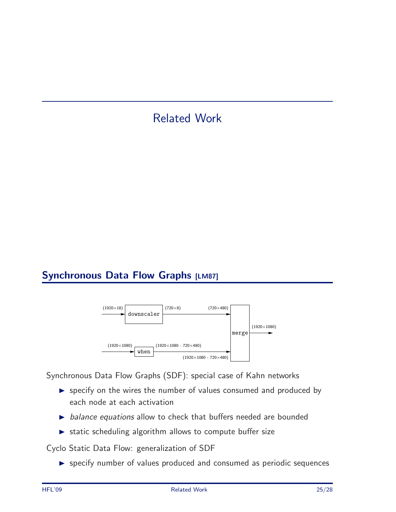# Related Work

# Synchronous Data Flow Graphs [LM87]



Synchronous Data Flow Graphs (SDF): special case of Kahn networks

- specify on the wires the number of values consumed and produced by each node at each activation
- $\triangleright$  balance equations allow to check that buffers needed are bounded
- static scheduling algorithm allows to compute buffer size

Cyclo Static Data Flow: generalization of SDF

specify number of values produced and consumed as periodic sequences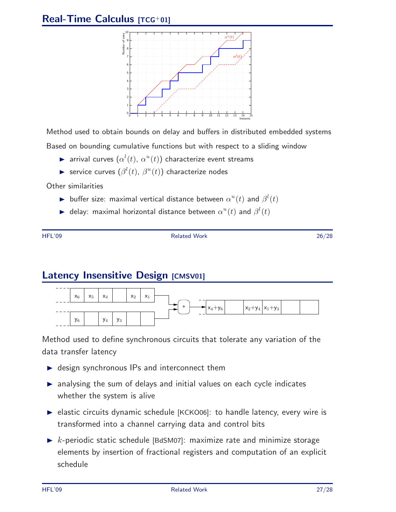#### Real-Time Calculus [TCG+01]



Method used to obtain bounds on delay and buffers in distributed embedded systems

Based on bounding cumulative functions but with respect to a sliding window

- $\blacktriangleright$  arrival curves  $(\alpha^l(t),\,\alpha^u(t))$  characterize event streams
- Service curves  $(\beta^{l}(t), \beta^{u}(t))$  characterize nodes

Other similarities

- buffer size: maximal vertical distance between  $\alpha^u(t)$  and  $\beta^l(t)$
- $\blacktriangleright$  delay: maximal horizontal distance between  $\alpha^u(t)$  and  $\beta^l(t)$

HFL'09 Related Work 26/28

#### Latency Insensitive Design [CMSV01]



Method used to define synchronous circuits that tolerate any variation of the data transfer latency

- ▶ design synchronous IPs and interconnect them
- analysing the sum of delays and initial values on each cycle indicates whether the system is alive
- ▶ elastic circuits dynamic schedule [KCKO06]: to handle latency, every wire is transformed into a channel carrying data and control bits
- $\triangleright$  k-periodic static schedule [BdSM07]: maximize rate and minimize storage elements by insertion of fractional registers and computation of an explicit schedule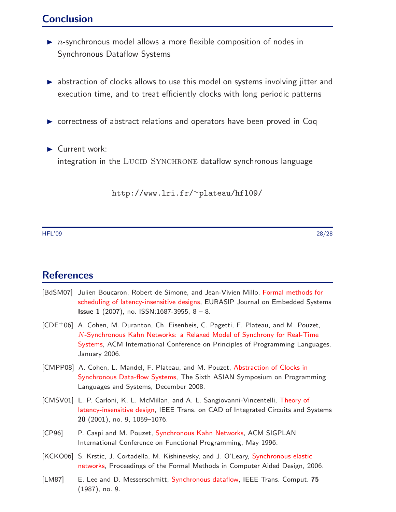#### Conclusion

- $\blacktriangleright$  *n*-synchronous model allows a more flexible composition of nodes in Synchronous Dataflow Systems
- ▶ abstraction of clocks allows to use this model on systems involving jitter and execution time, and to treat efficiently clocks with long periodic patterns
- ▶ correctness of abstract relations and operators have been proved in Coq
- Current work: integration in the LUCID SYNCHRONE dataflow synchronous language

http://www.lri.fr/<sup>∼</sup>plateau/hfl09/

HFL'09 28/28

#### **References**

- [BdSM07] Julien Boucaron, Robert de Simone, and Jean-Vivien Millo, Formal methods for scheduling of latency-insensitive designs, EURASIP Journal on Embedded Systems **Issue 1** (2007), no. ISSN:1687-3955,  $8 - 8$ .
- [CDE+06] A. Cohen, M. Duranton, Ch. Eisenbeis, C. Pagetti, F. Plateau, and M. Pouzet, N-Synchronous Kahn Networks: a Relaxed Model of Synchrony for Real-Time Systems, ACM International Conference on Principles of Programming Languages, January 2006.
- [CMPP08] A. Cohen, L. Mandel, F. Plateau, and M. Pouzet, Abstraction of Clocks in Synchronous Data-flow Systems, The Sixth ASIAN Symposium on Programming Languages and Systems, December 2008.
- [CMSV01] L. P. Carloni, K. L. McMillan, and A. L. Sangiovanni-Vincentelli, Theory of latency-insensitive design, IEEE Trans. on CAD of Integrated Circuits and Systems 20 (2001), no. 9, 1059–1076.
- [CP96] P. Caspi and M. Pouzet, Synchronous Kahn Networks, ACM SIGPLAN International Conference on Functional Programming, May 1996.
- [KCKO06] S. Krstic, J. Cortadella, M. Kishinevsky, and J. O'Leary, Synchronous elastic networks, Proceedings of the Formal Methods in Computer Aided Design, 2006.
- [LM87] E. Lee and D. Messerschmitt, Synchronous dataflow, IEEE Trans. Comput. 75 (1987), no. 9.